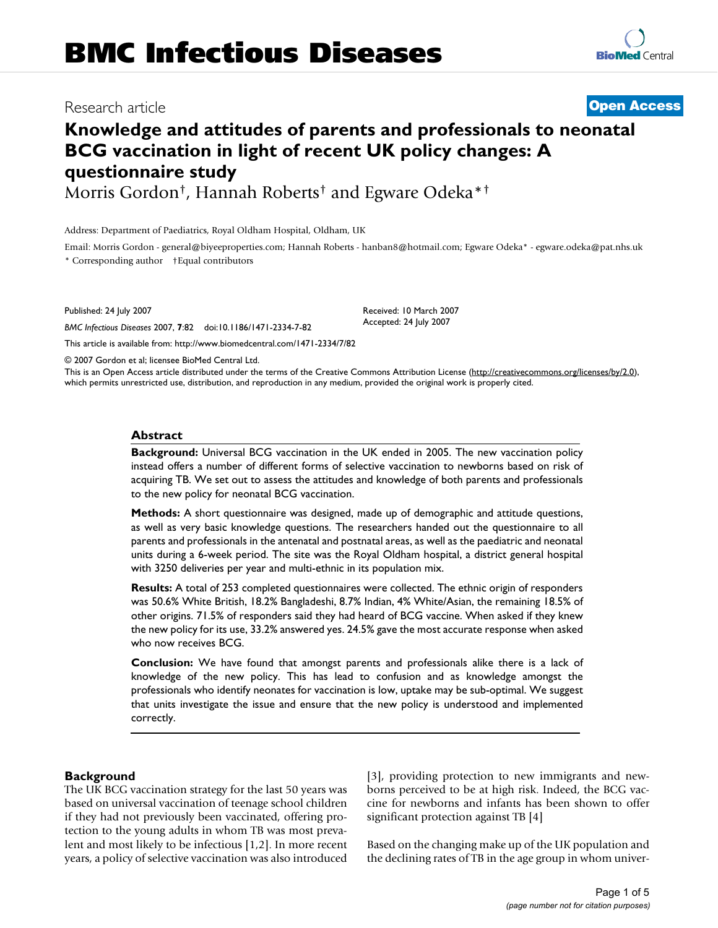# **Knowledge and attitudes of parents and professionals to neonatal BCG vaccination in light of recent UK policy changes: A questionnaire study**

Morris Gordon†, Hannah Roberts† and Egware Odeka\*†

Address: Department of Paediatrics, Royal Oldham Hospital, Oldham, UK

Email: Morris Gordon - general@biyeeproperties.com; Hannah Roberts - hanban8@hotmail.com; Egware Odeka\* - egware.odeka@pat.nhs.uk \* Corresponding author †Equal contributors

> Received: 10 March 2007 Accepted: 24 July 2007

Published: 24 July 2007

*BMC Infectious Diseases* 2007, **7**:82 doi:10.1186/1471-2334-7-82

[This article is available from: http://www.biomedcentral.com/1471-2334/7/82](http://www.biomedcentral.com/1471-2334/7/82)

© 2007 Gordon et al; licensee BioMed Central Ltd.

This is an Open Access article distributed under the terms of the Creative Commons Attribution License [\(http://creativecommons.org/licenses/by/2.0\)](http://creativecommons.org/licenses/by/2.0), which permits unrestricted use, distribution, and reproduction in any medium, provided the original work is properly cited.

#### **Abstract**

**Background:** Universal BCG vaccination in the UK ended in 2005. The new vaccination policy instead offers a number of different forms of selective vaccination to newborns based on risk of acquiring TB. We set out to assess the attitudes and knowledge of both parents and professionals to the new policy for neonatal BCG vaccination.

**Methods:** A short questionnaire was designed, made up of demographic and attitude questions, as well as very basic knowledge questions. The researchers handed out the questionnaire to all parents and professionals in the antenatal and postnatal areas, as well as the paediatric and neonatal units during a 6-week period. The site was the Royal Oldham hospital, a district general hospital with 3250 deliveries per year and multi-ethnic in its population mix.

**Results:** A total of 253 completed questionnaires were collected. The ethnic origin of responders was 50.6% White British, 18.2% Bangladeshi, 8.7% Indian, 4% White/Asian, the remaining 18.5% of other origins. 71.5% of responders said they had heard of BCG vaccine. When asked if they knew the new policy for its use, 33.2% answered yes. 24.5% gave the most accurate response when asked who now receives BCG.

**Conclusion:** We have found that amongst parents and professionals alike there is a lack of knowledge of the new policy. This has lead to confusion and as knowledge amongst the professionals who identify neonates for vaccination is low, uptake may be sub-optimal. We suggest that units investigate the issue and ensure that the new policy is understood and implemented correctly.

# **Background**

The UK BCG vaccination strategy for the last 50 years was based on universal vaccination of teenage school children if they had not previously been vaccinated, offering protection to the young adults in whom TB was most prevalent and most likely to be infectious [1,2]. In more recent years, a policy of selective vaccination was also introduced [3], providing protection to new immigrants and newborns perceived to be at high risk. Indeed, the BCG vaccine for newborns and infants has been shown to offer significant protection against TB [4]

Based on the changing make up of the UK population and the declining rates of TB in the age group in whom univer-

Research article **[Open Access](http://www.biomedcentral.com/info/about/charter/)**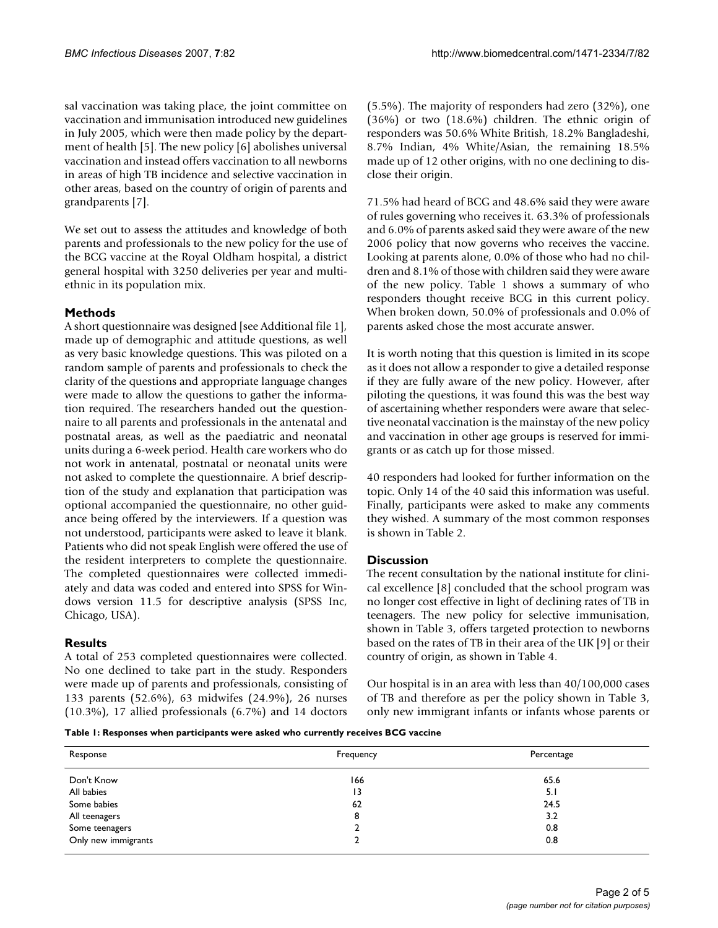sal vaccination was taking place, the joint committee on vaccination and immunisation introduced new guidelines in July 2005, which were then made policy by the department of health [5]. The new policy [6] abolishes universal vaccination and instead offers vaccination to all newborns in areas of high TB incidence and selective vaccination in other areas, based on the country of origin of parents and grandparents [7].

We set out to assess the attitudes and knowledge of both parents and professionals to the new policy for the use of the BCG vaccine at the Royal Oldham hospital, a district general hospital with 3250 deliveries per year and multiethnic in its population mix.

# **Methods**

A short questionnaire was designed [see Additional file 1], made up of demographic and attitude questions, as well as very basic knowledge questions. This was piloted on a random sample of parents and professionals to check the clarity of the questions and appropriate language changes were made to allow the questions to gather the information required. The researchers handed out the questionnaire to all parents and professionals in the antenatal and postnatal areas, as well as the paediatric and neonatal units during a 6-week period. Health care workers who do not work in antenatal, postnatal or neonatal units were not asked to complete the questionnaire. A brief description of the study and explanation that participation was optional accompanied the questionnaire, no other guidance being offered by the interviewers. If a question was not understood, participants were asked to leave it blank. Patients who did not speak English were offered the use of the resident interpreters to complete the questionnaire. The completed questionnaires were collected immediately and data was coded and entered into SPSS for Windows version 11.5 for descriptive analysis (SPSS Inc, Chicago, USA).

# **Results**

A total of 253 completed questionnaires were collected. No one declined to take part in the study. Responders were made up of parents and professionals, consisting of 133 parents (52.6%), 63 midwifes (24.9%), 26 nurses (10.3%), 17 allied professionals (6.7%) and 14 doctors (5.5%). The majority of responders had zero (32%), one (36%) or two (18.6%) children. The ethnic origin of responders was 50.6% White British, 18.2% Bangladeshi, 8.7% Indian, 4% White/Asian, the remaining 18.5% made up of 12 other origins, with no one declining to disclose their origin.

71.5% had heard of BCG and 48.6% said they were aware of rules governing who receives it. 63.3% of professionals and 6.0% of parents asked said they were aware of the new 2006 policy that now governs who receives the vaccine. Looking at parents alone, 0.0% of those who had no children and 8.1% of those with children said they were aware of the new policy. Table 1 shows a summary of who responders thought receive BCG in this current policy. When broken down, 50.0% of professionals and 0.0% of parents asked chose the most accurate answer.

It is worth noting that this question is limited in its scope as it does not allow a responder to give a detailed response if they are fully aware of the new policy. However, after piloting the questions, it was found this was the best way of ascertaining whether responders were aware that selective neonatal vaccination is the mainstay of the new policy and vaccination in other age groups is reserved for immigrants or as catch up for those missed.

40 responders had looked for further information on the topic. Only 14 of the 40 said this information was useful. Finally, participants were asked to make any comments they wished. A summary of the most common responses is shown in Table 2.

# **Discussion**

The recent consultation by the national institute for clinical excellence [8] concluded that the school program was no longer cost effective in light of declining rates of TB in teenagers. The new policy for selective immunisation, shown in Table 3, offers targeted protection to newborns based on the rates of TB in their area of the UK [9] or their country of origin, as shown in Table 4.

Our hospital is in an area with less than 40/100,000 cases of TB and therefore as per the policy shown in Table 3, only new immigrant infants or infants whose parents or

**Table 1: Responses when participants were asked who currently receives BCG vaccine**

| Response            | Frequency | Percentage |  |  |
|---------------------|-----------|------------|--|--|
| Don't Know          | 166       | 65.6       |  |  |
| All babies          | 13        | 5.1        |  |  |
| Some babies         | 62        | 24.5       |  |  |
| All teenagers       | 8         | 3.2        |  |  |
| Some teenagers      |           | 0.8        |  |  |
| Only new immigrants |           | 0.8        |  |  |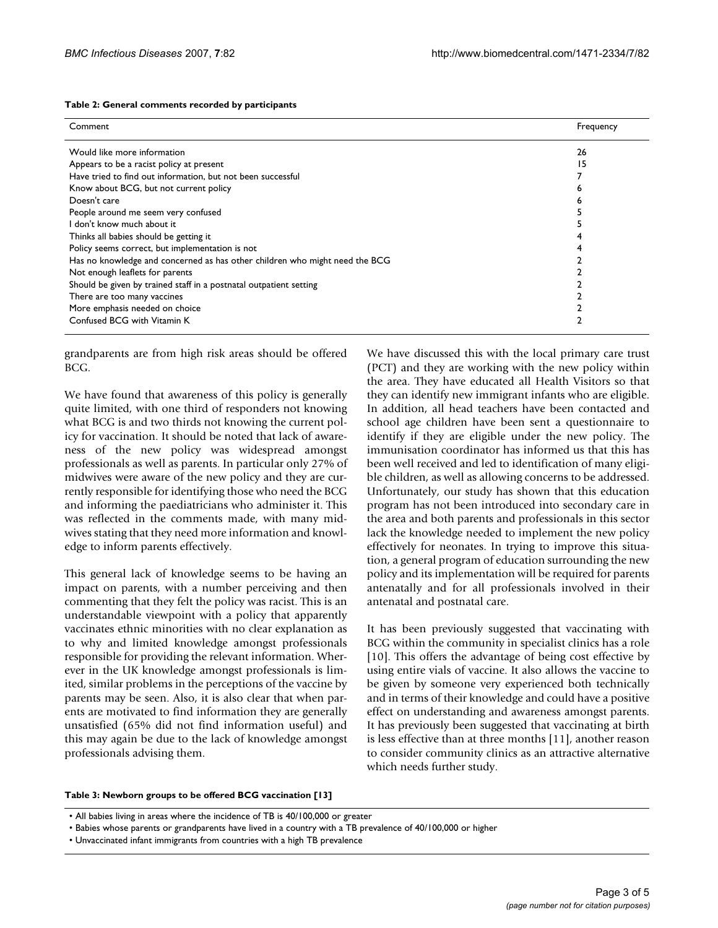| Table 2: General comments recorded by participants |  |  |  |
|----------------------------------------------------|--|--|--|
|----------------------------------------------------|--|--|--|

| Comment                                                                     | Frequency |
|-----------------------------------------------------------------------------|-----------|
| Would like more information                                                 | 26        |
| Appears to be a racist policy at present                                    | 15        |
| Have tried to find out information, but not been successful                 |           |
| Know about BCG, but not current policy                                      |           |
| Doesn't care                                                                |           |
| People around me seem very confused                                         |           |
| I don't know much about it                                                  |           |
| Thinks all babies should be getting it                                      |           |
| Policy seems correct, but implementation is not                             |           |
| Has no knowledge and concerned as has other children who might need the BCG |           |
| Not enough leaflets for parents                                             |           |
| Should be given by trained staff in a postnatal outpatient setting          |           |
| There are too many vaccines                                                 |           |
| More emphasis needed on choice                                              |           |
| Confused BCG with Vitamin K                                                 |           |
|                                                                             |           |

grandparents are from high risk areas should be offered BCG.

We have found that awareness of this policy is generally quite limited, with one third of responders not knowing what BCG is and two thirds not knowing the current policy for vaccination. It should be noted that lack of awareness of the new policy was widespread amongst professionals as well as parents. In particular only 27% of midwives were aware of the new policy and they are currently responsible for identifying those who need the BCG and informing the paediatricians who administer it. This was reflected in the comments made, with many midwives stating that they need more information and knowledge to inform parents effectively.

This general lack of knowledge seems to be having an impact on parents, with a number perceiving and then commenting that they felt the policy was racist. This is an understandable viewpoint with a policy that apparently vaccinates ethnic minorities with no clear explanation as to why and limited knowledge amongst professionals responsible for providing the relevant information. Wherever in the UK knowledge amongst professionals is limited, similar problems in the perceptions of the vaccine by parents may be seen. Also, it is also clear that when parents are motivated to find information they are generally unsatisfied (65% did not find information useful) and this may again be due to the lack of knowledge amongst professionals advising them.

We have discussed this with the local primary care trust (PCT) and they are working with the new policy within the area. They have educated all Health Visitors so that they can identify new immigrant infants who are eligible. In addition, all head teachers have been contacted and school age children have been sent a questionnaire to identify if they are eligible under the new policy. The immunisation coordinator has informed us that this has been well received and led to identification of many eligible children, as well as allowing concerns to be addressed. Unfortunately, our study has shown that this education program has not been introduced into secondary care in the area and both parents and professionals in this sector lack the knowledge needed to implement the new policy effectively for neonates. In trying to improve this situation, a general program of education surrounding the new policy and its implementation will be required for parents antenatally and for all professionals involved in their antenatal and postnatal care.

It has been previously suggested that vaccinating with BCG within the community in specialist clinics has a role [10]. This offers the advantage of being cost effective by using entire vials of vaccine. It also allows the vaccine to be given by someone very experienced both technically and in terms of their knowledge and could have a positive effect on understanding and awareness amongst parents. It has previously been suggested that vaccinating at birth is less effective than at three months [11], another reason to consider community clinics as an attractive alternative which needs further study.

#### **Table 3: Newborn groups to be offered BCG vaccination [13]**

• All babies living in areas where the incidence of TB is 40/100,000 or greater

- Babies whose parents or grandparents have lived in a country with a TB prevalence of 40/100,000 or higher
- Unvaccinated infant immigrants from countries with a high TB prevalence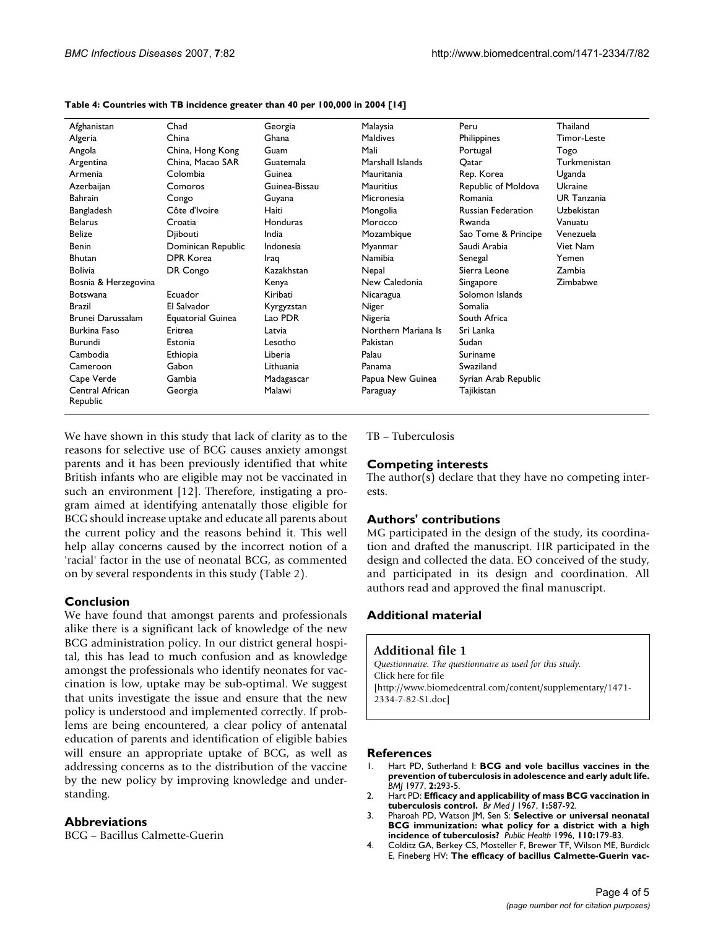| Afghanistan                 | Chad                     | Georgia       | Malaysia            | Peru                      | Thailand           |
|-----------------------------|--------------------------|---------------|---------------------|---------------------------|--------------------|
| Algeria                     | China                    | Ghana         | <b>Maldives</b>     | Philippines               | Timor-Leste        |
| Angola                      | China, Hong Kong         | Guam          | Mali                | Portugal                  | Togo               |
| Argentina                   | China, Macao SAR         | Guatemala     | Marshall Islands    | Qatar                     | Turkmenistan       |
| Armenia                     | Colombia                 | Guinea        | Mauritania          | Rep. Korea                | Uganda             |
| Azerbaijan                  | Comoros                  | Guinea-Bissau | Mauritius           | Republic of Moldova       | Ukraine            |
| Bahrain                     | Congo                    | Guyana        | Micronesia          | Romania                   | <b>UR</b> Tanzania |
| Bangladesh                  | Côte d'Ivoire            | Haiti         | Mongolia            | <b>Russian Federation</b> | Uzbekistan         |
| <b>Belarus</b>              | Croatia                  | Honduras      | Morocco             | Rwanda                    | Vanuatu            |
| <b>Belize</b>               | Djibouti                 | India         | Mozambique          | Sao Tome & Principe       | Venezuela          |
| <b>Benin</b>                | Dominican Republic       | Indonesia     | Myanmar             | Saudi Arabia              | Viet Nam           |
| <b>Bhutan</b>               | <b>DPR Korea</b>         | Iraq          | Namibia             | Senegal                   | Yemen              |
| <b>Bolivia</b>              | DR Congo                 | Kazakhstan    | Nepal               | Sierra Leone              | Zambia             |
| Bosnia & Herzegovina        |                          | Kenya         | New Caledonia       | Singapore                 | Zimbabwe           |
| <b>Botswana</b>             | Ecuador                  | Kiribati      | Nicaragua           | Solomon Islands           |                    |
| <b>Brazil</b>               | El Salvador              | Kyrgyzstan    | Niger               | Somalia                   |                    |
| Brunei Darussalam           | <b>Equatorial Guinea</b> | Lao PDR       | Nigeria             | South Africa              |                    |
| <b>Burkina Faso</b>         | Eritrea                  | Latvia        | Northern Mariana Is | Sri Lanka                 |                    |
| Burundi                     | Estonia                  | Lesotho       | Pakistan            | Sudan                     |                    |
| Cambodia                    | Ethiopia                 | Liberia       | Palau               | Suriname                  |                    |
| Cameroon                    | Gabon                    | Lithuania     | Panama              | Swaziland                 |                    |
| Cape Verde                  | Gambia                   | Madagascar    | Papua New Guinea    | Syrian Arab Republic      |                    |
| Central African<br>Republic | Georgia                  | Malawi        | Paraguay            | Tajikistan                |                    |

#### **Table 4: Countries with TB incidence greater than 40 per 100,000 in 2004 [14]**

We have shown in this study that lack of clarity as to the reasons for selective use of BCG causes anxiety amongst parents and it has been previously identified that white British infants who are eligible may not be vaccinated in such an environment [12]. Therefore, instigating a program aimed at identifying antenatally those eligible for BCG should increase uptake and educate all parents about the current policy and the reasons behind it. This well help allay concerns caused by the incorrect notion of a 'racial' factor in the use of neonatal BCG, as commented on by several respondents in this study (Table 2).

# **Conclusion**

We have found that amongst parents and professionals alike there is a significant lack of knowledge of the new BCG administration policy. In our district general hospital, this has lead to much confusion and as knowledge amongst the professionals who identify neonates for vaccination is low, uptake may be sub-optimal. We suggest that units investigate the issue and ensure that the new policy is understood and implemented correctly. If problems are being encountered, a clear policy of antenatal education of parents and identification of eligible babies will ensure an appropriate uptake of BCG, as well as addressing concerns as to the distribution of the vaccine by the new policy by improving knowledge and understanding.

# **Abbreviations**

BCG – Bacillus Calmette-Guerin

TB – Tuberculosis

### **Competing interests**

The author(s) declare that they have no competing interests.

#### **Authors' contributions**

MG participated in the design of the study, its coordination and drafted the manuscript. HR participated in the design and collected the data. EO conceived of the study, and participated in its design and coordination. All authors read and approved the final manuscript.

# **Additional material**

#### **Additional file 1**

*Questionnaire. The questionnaire as used for this study.* Click here for file [\[http://www.biomedcentral.com/content/supplementary/1471-](http://www.biomedcentral.com/content/supplementary/1471-2334-7-82-S1.doc) 2334-7-82-S1.doc]

#### **References**

- 1. Hart PD, Sutherland I: **[BCG and vole bacillus vaccines in the](http://www.ncbi.nlm.nih.gov/entrez/query.fcgi?cmd=Retrieve&db=PubMed&dopt=Abstract&list_uids=326347) [prevention of tuberculosis in adolescence and early adult life.](http://www.ncbi.nlm.nih.gov/entrez/query.fcgi?cmd=Retrieve&db=PubMed&dopt=Abstract&list_uids=326347)** *BMJ* 1977, **2:**293-5.
- 2. Hart PD: **[Efficacy and applicability of mass BCG vaccination in](http://www.ncbi.nlm.nih.gov/entrez/query.fcgi?cmd=Retrieve&db=PubMed&dopt=Abstract&list_uids=6023319) [tuberculosis control.](http://www.ncbi.nlm.nih.gov/entrez/query.fcgi?cmd=Retrieve&db=PubMed&dopt=Abstract&list_uids=6023319)** *Br Med J* 1967, **1:**587-92.
- 3. Pharoah PD, Watson JM, Sen S: **[Selective or universal neonatal](http://www.ncbi.nlm.nih.gov/entrez/query.fcgi?cmd=Retrieve&db=PubMed&dopt=Abstract&list_uids=8668765) [BCG immunization: what policy for a district with a high](http://www.ncbi.nlm.nih.gov/entrez/query.fcgi?cmd=Retrieve&db=PubMed&dopt=Abstract&list_uids=8668765) [incidence of tuberculosis?](http://www.ncbi.nlm.nih.gov/entrez/query.fcgi?cmd=Retrieve&db=PubMed&dopt=Abstract&list_uids=8668765)** *Public Health* 1996, **110:**179-83.
- 4. Colditz GA, Berkey CS, Mosteller F, Brewer TF, Wilson ME, Burdick E, Fineberg HV: **[The efficacy of bacillus Calmette-Guerin vac](http://www.ncbi.nlm.nih.gov/entrez/query.fcgi?cmd=Retrieve&db=PubMed&dopt=Abstract&list_uids=7596718)-**